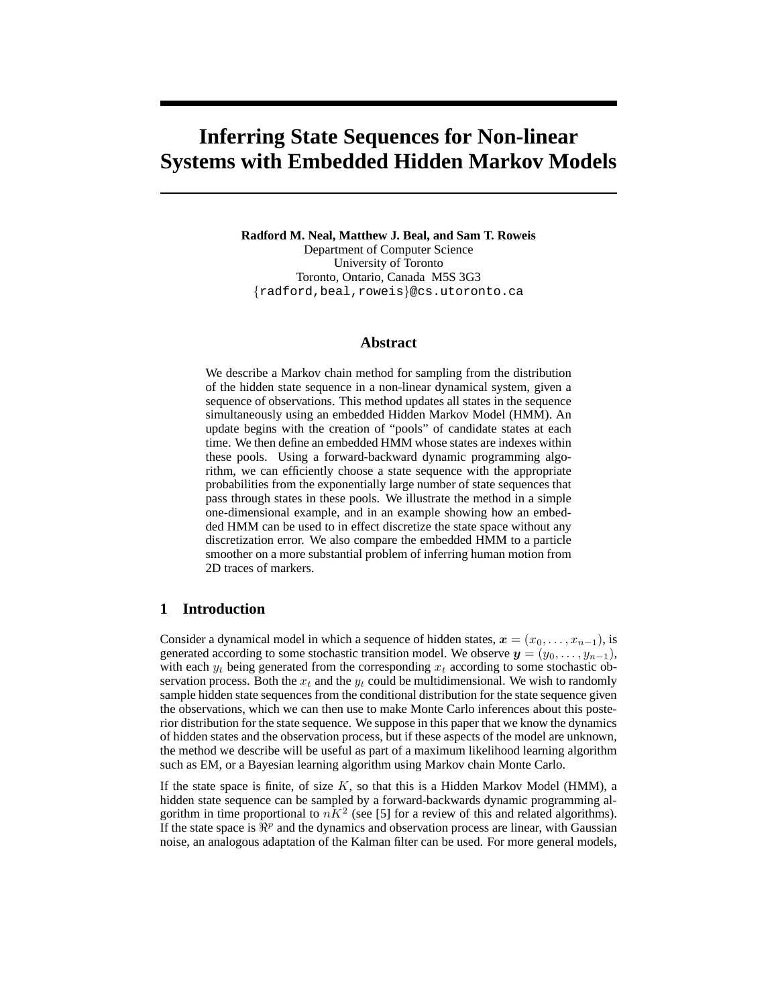# **Inferring State Sequences for Non-linear Systems with Embedded Hidden Markov Models**

**Radford M. Neal, Matthew J. Beal, and Sam T. Roweis** Department of Computer Science University of Toronto Toronto, Ontario, Canada M5S 3G3 {radford,beal,roweis}@cs.utoronto.ca

#### **Abstract**

We describe a Markov chain method for sampling from the distribution of the hidden state sequence in a non-linear dynamical system, given a sequence of observations. This method updates all states in the sequence simultaneously using an embedded Hidden Markov Model (HMM). An update begins with the creation of "pools" of candidate states at each time. We then define an embedded HMM whose states are indexes within these pools. Using a forward-backward dynamic programming algorithm, we can efficiently choose a state sequence with the appropriate probabilities from the exponentially large number of state sequences that pass through states in these pools. We illustrate the method in a simple one-dimensional example, and in an example showing how an embedded HMM can be used to in effect discretize the state space without any discretization error. We also compare the embedded HMM to a particle smoother on a more substantial problem of inferring human motion from 2D traces of markers.

## **1 Introduction**

Consider a dynamical model in which a sequence of hidden states,  $x = (x_0, \ldots, x_{n-1})$ , is generated according to some stochastic transition model. We observe  $y = (y_0, \ldots, y_{n-1}),$ with each  $y_t$  being generated from the corresponding  $x_t$  according to some stochastic observation process. Both the  $x_t$  and the  $y_t$  could be multidimensional. We wish to randomly sample hidden state sequences from the conditional distribution for the state sequence given the observations, which we can then use to make Monte Carlo inferences about this posterior distribution for the state sequence. We suppose in this paper that we know the dynamics of hidden states and the observation process, but if these aspects of the model are unknown, the method we describe will be useful as part of a maximum likelihood learning algorithm such as EM, or a Bayesian learning algorithm using Markov chain Monte Carlo.

If the state space is finite, of size  $K$ , so that this is a Hidden Markov Model (HMM), a hidden state sequence can be sampled by a forward-backwards dynamic programming algorithm in time proportional to  $nK^2$  (see [5] for a review of this and related algorithms). If the state space is  $\mathbb{R}^p$  and the dynamics and observation process are linear, with Gaussian noise, an analogous adaptation of the Kalman filter can be used. For more general models,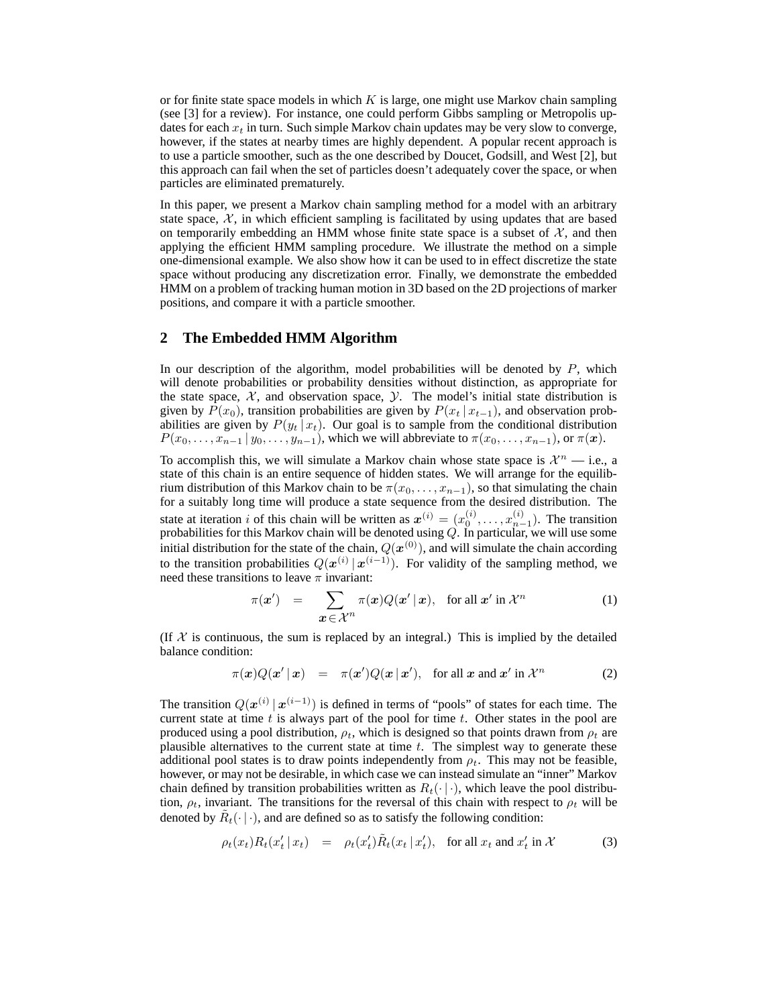or for finite state space models in which  $K$  is large, one might use Markov chain sampling (see [3] for a review). For instance, one could perform Gibbs sampling or Metropolis updates for each  $x_t$  in turn. Such simple Markov chain updates may be very slow to converge, however, if the states at nearby times are highly dependent. A popular recent approach is to use a particle smoother, such as the one described by Doucet, Godsill, and West [2], but this approach can fail when the set of particles doesn't adequately cover the space, or when particles are eliminated prematurely.

In this paper, we present a Markov chain sampling method for a model with an arbitrary state space,  $X$ , in which efficient sampling is facilitated by using updates that are based on temporarily embedding an HMM whose finite state space is a subset of  $X$ , and then applying the efficient HMM sampling procedure. We illustrate the method on a simple one-dimensional example. We also show how it can be used to in effect discretize the state space without producing any discretization error. Finally, we demonstrate the embedded HMM on a problem of tracking human motion in 3D based on the 2D projections of marker positions, and compare it with a particle smoother.

#### **2 The Embedded HMM Algorithm**

In our description of the algorithm, model probabilities will be denoted by  $P$ , which will denote probabilities or probability densities without distinction, as appropriate for the state space,  $X$ , and observation space,  $Y$ . The model's initial state distribution is given by  $P(x_0)$ , transition probabilities are given by  $P(x_t | x_{t-1})$ , and observation probabilities are given by  $P(y_t | x_t)$ . Our goal is to sample from the conditional distribution  $P(x_0, \ldots, x_{n-1} | y_0, \ldots, y_{n-1})$ , which we will abbreviate to  $\pi(x_0, \ldots, x_{n-1})$ , or  $\pi(\boldsymbol{x})$ .

To accomplish this, we will simulate a Markov chain whose state space is  $\mathcal{X}^n$  — i.e., a state of this chain is an entire sequence of hidden states. We will arrange for the equilibrium distribution of this Markov chain to be  $\pi(x_0, \ldots, x_{n-1})$ , so that simulating the chain for a suitably long time will produce a state sequence from the desired distribution. The state at iteration *i* of this chain will be written as  $x^{(i)} = (x_0^{(i)}, \dots, x_{n-1}^{(i)})$ . The transition probabilities for this Markov chain will be denoted using  $Q.$  In particular, we will use some initial distribution for the state of the chain,  $Q(\boldsymbol{x}^{(0)})$ , and will simulate the chain according to the transition probabilities  $Q(x^{(i)} | x^{(i-1)})$ . For validity of the sampling method, we need these transitions to leave  $\pi$  invariant:

$$
\pi(\boldsymbol{x}') = \sum_{\boldsymbol{x} \in \mathcal{X}^n} \pi(\boldsymbol{x}) Q(\boldsymbol{x}' \,|\, \boldsymbol{x}), \text{ for all } \boldsymbol{x}' \text{ in } \mathcal{X}^n \tag{1}
$$

(If  $X$  is continuous, the sum is replaced by an integral.) This is implied by the detailed balance condition:

$$
\pi(\boldsymbol{x})Q(\boldsymbol{x}'\,|\,\boldsymbol{x}) = \pi(\boldsymbol{x}')Q(\boldsymbol{x}\,|\,\boldsymbol{x}'), \text{ for all } \boldsymbol{x} \text{ and } \boldsymbol{x}' \text{ in } \mathcal{X}^n \tag{2}
$$

The transition  $Q(x^{(i)} | x^{(i-1)})$  is defined in terms of "pools" of states for each time. The current state at time  $t$  is always part of the pool for time  $t$ . Other states in the pool are produced using a pool distribution,  $\rho_t$ , which is designed so that points drawn from  $\rho_t$  are plausible alternatives to the current state at time  $t$ . The simplest way to generate these additional pool states is to draw points independently from  $\rho_t$ . This may not be feasible, however, or may not be desirable, in which case we can instead simulate an "inner" Markov chain defined by transition probabilities written as  $R_t(\cdot | \cdot)$ , which leave the pool distribution,  $\rho_t$ , invariant. The transitions for the reversal of this chain with respect to  $\rho_t$  will be denoted by  $\tilde{R}_t(\cdot | \cdot)$ , and are defined so as to satisfy the following condition:

$$
\rho_t(x_t) R_t(x'_t | x_t) = \rho_t(x'_t) \tilde{R}_t(x_t | x'_t), \text{ for all } x_t \text{ and } x'_t \text{ in } \mathcal{X}
$$
 (3)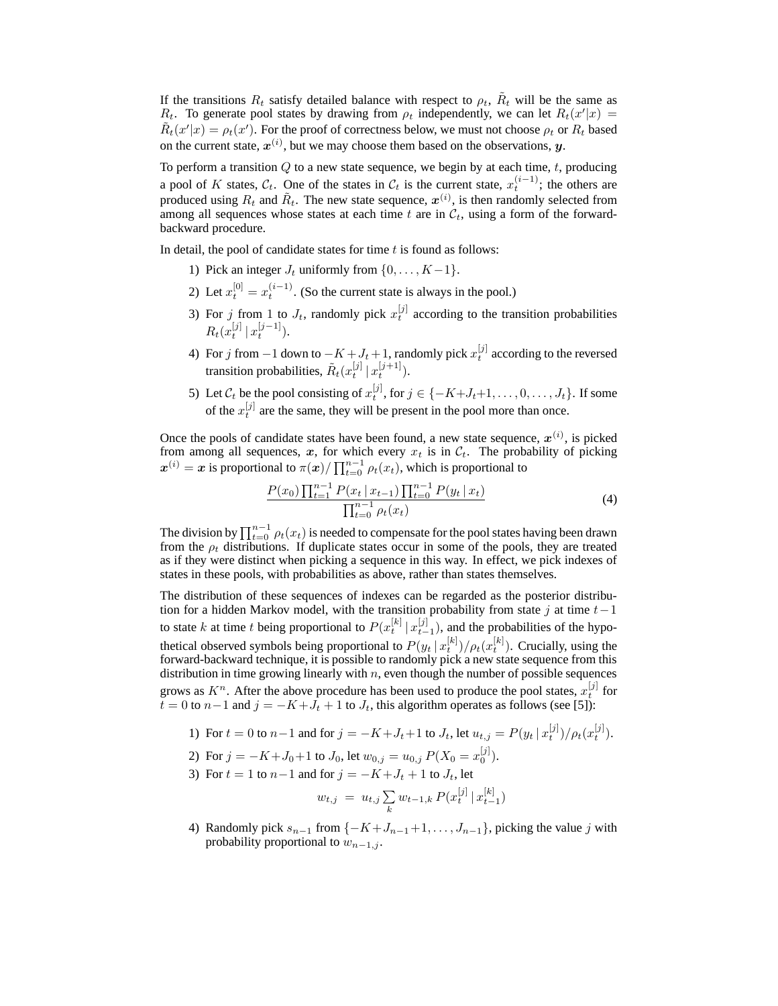If the transitions  $R_t$  satisfy detailed balance with respect to  $\rho_t$ ,  $\tilde{R}_t$  will be the same as  $R_t$ . To generate pool states by drawing from  $\rho_t$  independently, we can let  $R_t(x'|x) =$  $\tilde{R}_t(x'|x) = \rho_t(x')$ . For the proof of correctness below, we must not choose  $\rho_t$  or  $R_t$  based on the current state,  $x^{(i)}$ , but we may choose them based on the observations,  $y$ .

To perform a transition  $Q$  to a new state sequence, we begin by at each time,  $t$ , producing a pool of K states,  $\mathcal{C}_t$ . One of the states in  $\mathcal{C}_t$  is the current state,  $x_t^{(i-1)}$ ; the others are produced using  $R_t$  and  $\tilde{R}_t$ . The new state sequence,  $\boldsymbol{x}^{(i)}$ , is then randomly selected from among all sequences whose states at each time t are in  $\mathcal{C}_t$ , using a form of the forwardbackward procedure.

In detail, the pool of candidate states for time  $t$  is found as follows:

- 1) Pick an integer  $J_t$  uniformly from  $\{0, \ldots, K-1\}$ .
- 2) Let  $x_t^{[0]} = x_t^{(i-1)}$ . (So the current state is always in the pool.)
- 3) For j from 1 to  $J_t$ , randomly pick  $x_t^{[j]}$  according to the transition probabilities  $R_t(x_t^{[j]} | x_t^{[j-1]}).$
- 4) For j from  $-1$  down to  $-K + J_t + 1$ , randomly pick  $x_t^{[j]}$  according to the reversed transition probabilities,  $\tilde{R}_t(x^{[j]}_t \,|\, x^{[j+1]}_t).$
- 5) Let  $\mathcal{C}_t$  be the pool consisting of  $x_t^{[j]}$ , for  $j \in \{-K+J_t+1,\ldots,0,\ldots,J_t\}$ . If some of the  $x_t^{[j]}$  are the same, they will be present in the pool more than once.

Once the pools of candidate states have been found, a new state sequence,  $x^{(i)}$ , is picked from among all sequences, x, for which every  $x_t$  is in  $\mathcal{C}_t$ . The probability of picking  $x^{(i)} = x$  is proportional to  $\pi(x) / \prod_{t=0}^{n-1} \rho_t(x_t)$ , which is proportional to

$$
\frac{P(x_0) \prod_{t=1}^{n-1} P(x_t | x_{t-1}) \prod_{t=0}^{n-1} P(y_t | x_t)}{\prod_{t=0}^{n-1} \rho_t(x_t)}\tag{4}
$$

The division by  $\prod_{t=0}^{n-1} \rho_t(x_t)$  is needed to compensate for the pool states having been drawn from the  $\rho_t$  distributions. If duplicate states occur in some of the pools, they are treated as if they were distinct when picking a sequence in this way. In effect, we pick indexes of states in these pools, with probabilities as above, rather than states themselves.

The distribution of these sequences of indexes can be regarded as the posterior distribution for a hidden Markov model, with the transition probability from state j at time  $t-1$ to state k at time t being proportional to  $P(x_t^{[k]} | x_{t-1}^{[j]})$ , and the probabilities of the hypothetical observed symbols being proportional to  $P(y_t | x_t^{[k]})/\rho_t(x_t^{[k]})$ . Crucially, using the forward-backward technique, it is possible to randomly pick a new state sequence from this distribution in time growing linearly with  $n$ , even though the number of possible sequences grows as  $K^n$ . After the above procedure has been used to produce the pool states,  $x_t^{[j]}$  for  $t = 0$  to  $n-1$  and  $j = -K+J_t + 1$  to  $J_t$ , this algorithm operates as follows (see [5]):

- 1) For  $t = 0$  to  $n-1$  and for  $j = -K + J_t + 1$  to  $J_t$ , let  $u_{t,j} = P(y_t | x_t^{[j]}) / \rho_t(x_t^{[j]})$ .
- 2) For  $j = -K + J_0 + 1$  to  $J_0$ , let  $w_{0,j} = u_{0,j} P(X_0 = x_0^{[j]})$ .
- 3) For  $t = 1$  to  $n-1$  and for  $j = -K + J_t + 1$  to  $J_t$ , let

$$
w_{t,j} = u_{t,j} \sum_{k} w_{t-1,k} P(x_t^{[j]} | x_{t-1}^{[k]})
$$

4) Randomly pick  $s_{n-1}$  from  $\{-K+J_{n-1}+1,\ldots, J_{n-1}\}$ , picking the value j with probability proportional to  $w_{n-1,j}$ .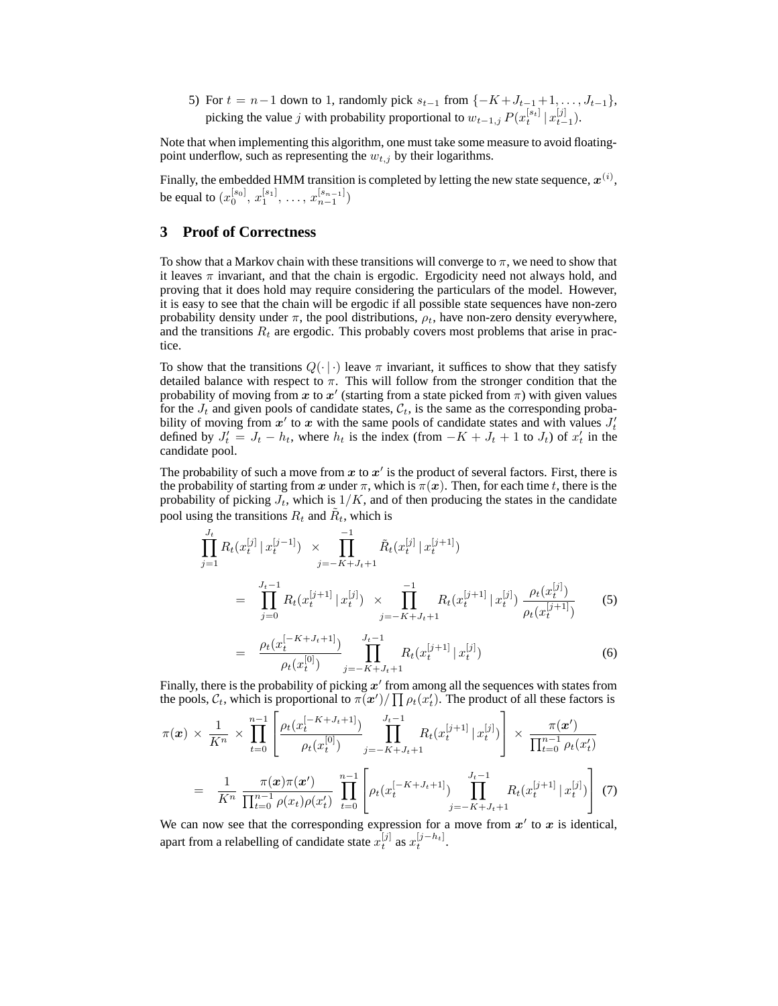5) For  $t = n-1$  down to 1, randomly pick  $s_{t-1}$  from  $\{-K+J_{t-1}+1,\ldots,J_{t-1}\},$ picking the value j with probability proportional to  $w_{t-1,j} P(x_t^{[s_t]} | x_{t-1}^{[j]})$ .

Note that when implementing this algorithm, one must take some measure to avoid floatingpoint underflow, such as representing the  $w_{t,j}$  by their logarithms.

Finally, the embedded HMM transition is completed by letting the new state sequence,  $\boldsymbol{x}^{(i)},$ be equal to  $(x_0^{[s_0]}, x_1^{[s_1]}, \ldots, x_{n-1}^{[s_{n-1}]})$ 

# **3 Proof of Correctness**

=

To show that a Markov chain with these transitions will converge to  $\pi$ , we need to show that it leaves  $\pi$  invariant, and that the chain is ergodic. Ergodicity need not always hold, and proving that it does hold may require considering the particulars of the model. However, it is easy to see that the chain will be ergodic if all possible state sequences have non-zero probability density under  $\pi$ , the pool distributions,  $\rho_t$ , have non-zero density everywhere, and the transitions  $R_t$  are ergodic. This probably covers most problems that arise in practice.

To show that the transitions  $Q(\cdot|\cdot)$  leave  $\pi$  invariant, it suffices to show that they satisfy detailed balance with respect to  $\pi$ . This will follow from the stronger condition that the probability of moving from x to x' (starting from a state picked from  $\pi$ ) with given values for the  $J_t$  and given pools of candidate states,  $\mathcal{C}_t$ , is the same as the corresponding probability of moving from  $x'$  to x with the same pools of candidate states and with values  $J'_t$ defined by  $J_t' = J_t - h_t$ , where  $h_t$  is the index (from  $-K + J_t + 1$  to  $J_t$ ) of  $x_t'$  in the candidate pool.

The probability of such a move from  $x$  to  $x'$  is the product of several factors. First, there is the probability of starting from x under  $\pi$ , which is  $\pi(x)$ . Then, for each time t, there is the probability of picking  $J_t$ , which is  $1/K$ , and of then producing the states in the candidate pool using the transitions  $R_t$  and  $\tilde{R}_t$ , which is

$$
\prod_{j=1}^{J_t} R_t(x_t^{[j]} | x_t^{[j-1]}) \times \prod_{j=-K+J_t+1}^{-1} \tilde{R}_t(x_t^{[j]} | x_t^{[j+1]})
$$
\n
$$
= \prod_{j=0}^{J_t-1} R_t(x_t^{[j+1]} | x_t^{[j]}) \times \prod_{j=-K+J_t+1}^{-1} R_t(x_t^{[j+1]} | x_t^{[j]}) \frac{\rho_t(x_t^{[j]})}{\rho_t(x_t^{[j+1]})} \tag{5}
$$

$$
\frac{\rho_t(x_t^{[-K+J_t+1]})}{\rho_t(x_t^{[0]})} \prod_{j=-K+J_t+1}^{J_t-1} R_t(x_t^{[j+1]} | x_t^{[j]}) \tag{6}
$$

Finally, there is the probability of picking  $x'$  from among all the sequences with states from the pools,  $C_t$ , which is proportional to  $\pi(\bm{x}') / \prod \rho_t(x_t')$ . The product of all these factors is

$$
\pi(\boldsymbol{x}) \times \frac{1}{K^n} \times \prod_{t=0}^{n-1} \left[ \frac{\rho_t(x_t^{[-K+J_t+1]})}{\rho_t(x_t^{[0]})} \prod_{j=-K+J_t+1}^{J_t-1} R_t(x_t^{[j+1]} | x_t^{[j]}) \right] \times \frac{\pi(\boldsymbol{x}')}{\prod_{t=0}^{n-1} \rho_t(x_t^{j})}
$$
\n
$$
= \frac{1}{K^n} \frac{\pi(\boldsymbol{x})\pi(\boldsymbol{x}')}{\prod_{t=0}^{n-1} \rho(x_t)\rho(x_t^{j})} \prod_{t=0}^{n-1} \left[ \rho_t(x_t^{[-K+J_t+1]}) \prod_{j=-K+J_t+1}^{J_t-1} R_t(x_t^{[j+1]} | x_t^{[j]}) \right] (7)
$$

We can now see that the corresponding expression for a move from  $x'$  to  $x$  is identical, apart from a relabelling of candidate state  $x_t^{[j]}$  as  $x_t^{[j-h_t]}$ .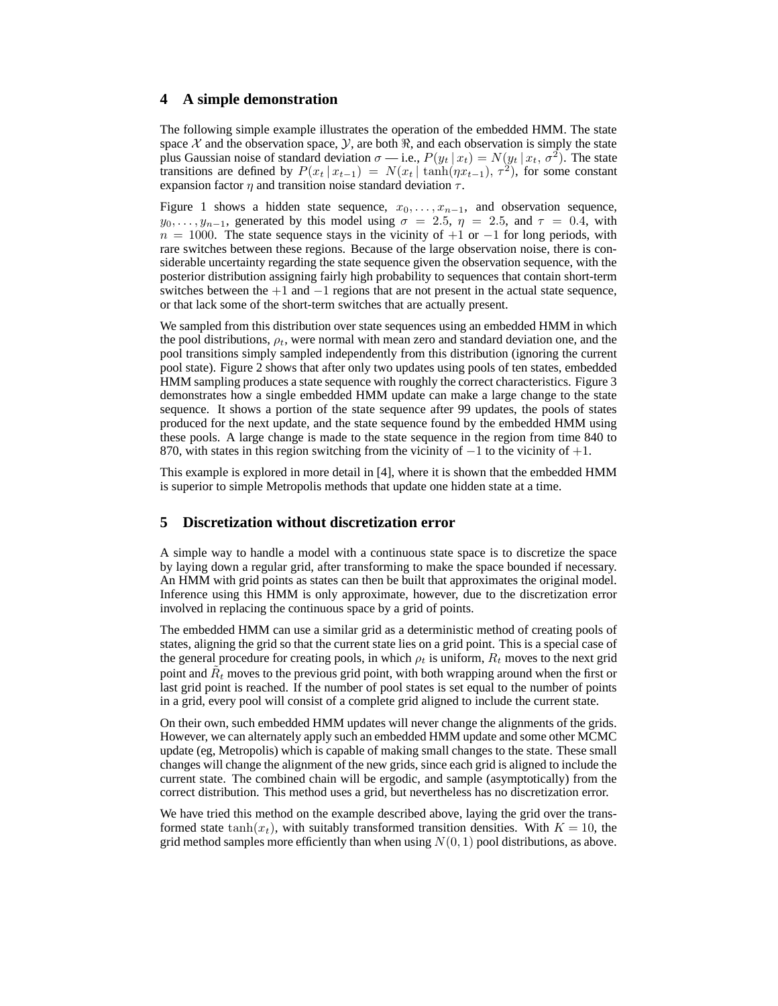# **4 A simple demonstration**

The following simple example illustrates the operation of the embedded HMM. The state space X and the observation space,  $\mathcal{Y}$ , are both  $\mathcal{R}$ , and each observation is simply the state plus Gaussian noise of standard deviation  $\sigma$  — i.e.,  $P(y_t | x_t) = N(y_t | x_t, \sigma^2)$ . The state transitions are defined by  $P(x_t | x_{t-1}) = N(x_t | \tanh(\eta x_{t-1}), \tau^2)$ , for some constant expansion factor  $\eta$  and transition noise standard deviation  $\tau$ .

Figure 1 shows a hidden state sequence,  $x_0, \ldots, x_{n-1}$ , and observation sequence,  $y_0, \ldots, y_{n-1}$ , generated by this model using  $\sigma = 2.5$ ,  $\eta = 2.5$ , and  $\tau = 0.4$ , with  $n = 1000$ . The state sequence stays in the vicinity of  $+1$  or  $-1$  for long periods, with rare switches between these regions. Because of the large observation noise, there is considerable uncertainty regarding the state sequence given the observation sequence, with the posterior distribution assigning fairly high probability to sequences that contain short-term switches between the  $+1$  and  $-1$  regions that are not present in the actual state sequence, or that lack some of the short-term switches that are actually present.

We sampled from this distribution over state sequences using an embedded HMM in which the pool distributions,  $\rho_t$ , were normal with mean zero and standard deviation one, and the pool transitions simply sampled independently from this distribution (ignoring the current pool state). Figure 2 shows that after only two updates using pools of ten states, embedded HMM sampling produces a state sequence with roughly the correct characteristics. Figure 3 demonstrates how a single embedded HMM update can make a large change to the state sequence. It shows a portion of the state sequence after 99 updates, the pools of states produced for the next update, and the state sequence found by the embedded HMM using these pools. A large change is made to the state sequence in the region from time 840 to 870, with states in this region switching from the vicinity of  $-1$  to the vicinity of  $+1$ .

This example is explored in more detail in [4], where it is shown that the embedded HMM is superior to simple Metropolis methods that update one hidden state at a time.

### **5 Discretization without discretization error**

A simple way to handle a model with a continuous state space is to discretize the space by laying down a regular grid, after transforming to make the space bounded if necessary. An HMM with grid points as states can then be built that approximates the original model. Inference using this HMM is only approximate, however, due to the discretization error involved in replacing the continuous space by a grid of points.

The embedded HMM can use a similar grid as a deterministic method of creating pools of states, aligning the grid so that the current state lies on a grid point. This is a special case of the general procedure for creating pools, in which  $\rho_t$  is uniform,  $R_t$  moves to the next grid point and  $\tilde{R}_t$  moves to the previous grid point, with both wrapping around when the first or last grid point is reached. If the number of pool states is set equal to the number of points in a grid, every pool will consist of a complete grid aligned to include the current state.

On their own, such embedded HMM updates will never change the alignments of the grids. However, we can alternately apply such an embedded HMM update and some other MCMC update (eg, Metropolis) which is capable of making small changes to the state. These small changes will change the alignment of the new grids, since each grid is aligned to include the current state. The combined chain will be ergodic, and sample (asymptotically) from the correct distribution. This method uses a grid, but nevertheless has no discretization error.

We have tried this method on the example described above, laying the grid over the transformed state tanh( $x_t$ ), with suitably transformed transition densities. With  $K = 10$ , the grid method samples more efficiently than when using  $N(0, 1)$  pool distributions, as above.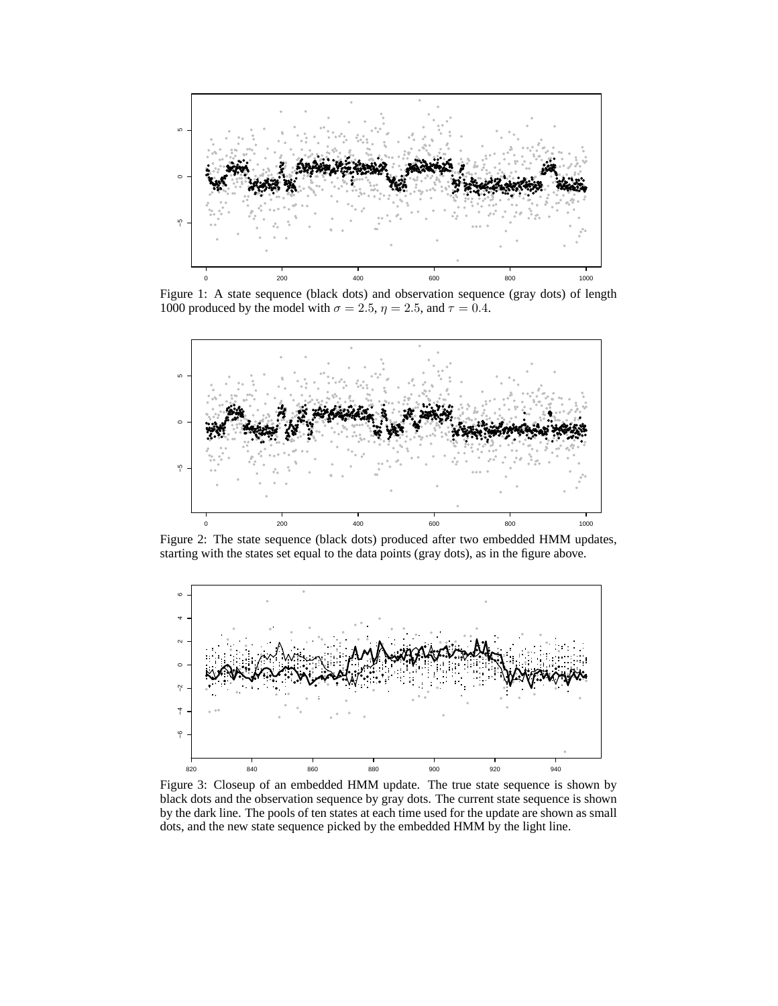

Figure 1: A state sequence (black dots) and observation sequence (gray dots) of length 1000 produced by the model with  $\sigma = 2.5$ ,  $\eta = 2.5$ , and  $\tau = 0.4$ .



Figure 2: The state sequence (black dots) produced after two embedded HMM updates, starting with the states set equal to the data points (gray dots), as in the figure above.



Figure 3: Closeup of an embedded HMM update. The true state sequence is shown by black dots and the observation sequence by gray dots. The current state sequence is shown by the dark line. The pools of ten states at each time used for the update are shown as small dots, and the new state sequence picked by the embedded HMM by the light line.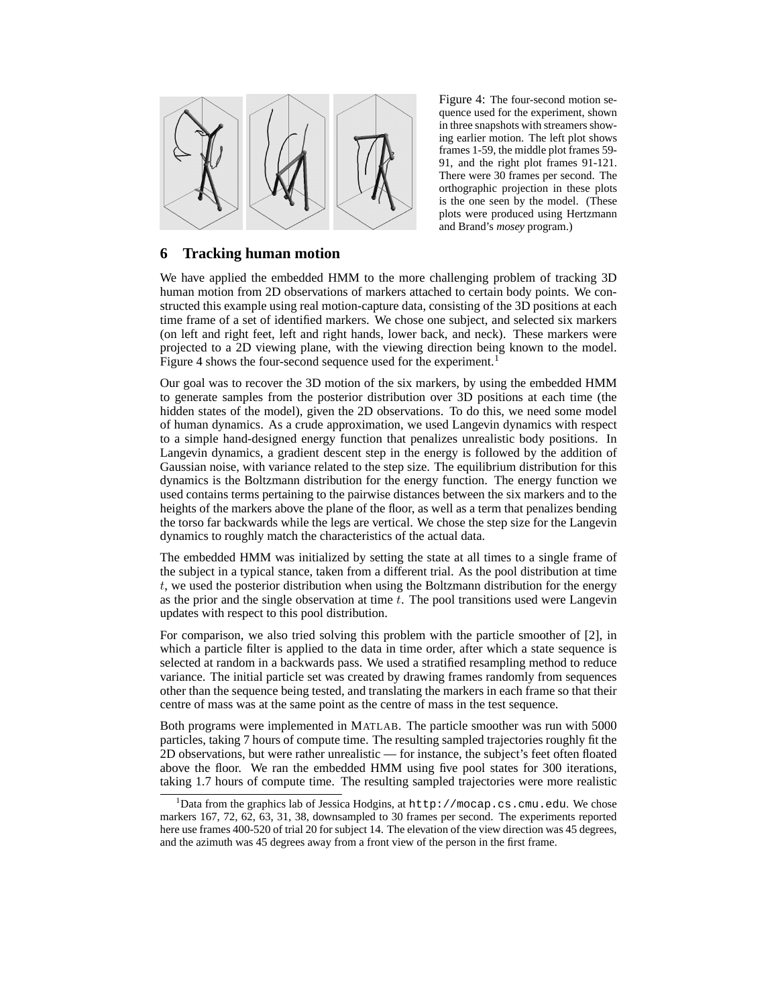

Figure 4: The four-second motion sequence used for the experiment, shown in three snapshots with streamers showing earlier motion. The left plot shows frames 1-59, the middle plot frames 59- 91, and the right plot frames 91-121. There were 30 frames per second. The orthographic projection in these plots is the one seen by the model. (These plots were produced using Hertzmann and Brand's *mosey* program.)

# **6 Tracking human motion**

We have applied the embedded HMM to the more challenging problem of tracking 3D human motion from 2D observations of markers attached to certain body points. We constructed this example using real motion-capture data, consisting of the 3D positions at each time frame of a set of identified markers. We chose one subject, and selected six markers (on left and right feet, left and right hands, lower back, and neck). These markers were projected to a 2D viewing plane, with the viewing direction being known to the model. Figure 4 shows the four-second sequence used for the experiment.<sup>1</sup>

Our goal was to recover the 3D motion of the six markers, by using the embedded HMM to generate samples from the posterior distribution over 3D positions at each time (the hidden states of the model), given the 2D observations. To do this, we need some model of human dynamics. As a crude approximation, we used Langevin dynamics with respect to a simple hand-designed energy function that penalizes unrealistic body positions. In Langevin dynamics, a gradient descent step in the energy is followed by the addition of Gaussian noise, with variance related to the step size. The equilibrium distribution for this dynamics is the Boltzmann distribution for the energy function. The energy function we used contains terms pertaining to the pairwise distances between the six markers and to the heights of the markers above the plane of the floor, as well as a term that penalizes bending the torso far backwards while the legs are vertical. We chose the step size for the Langevin dynamics to roughly match the characteristics of the actual data.

The embedded HMM was initialized by setting the state at all times to a single frame of the subject in a typical stance, taken from a different trial. As the pool distribution at time  $t$ , we used the posterior distribution when using the Boltzmann distribution for the energy as the prior and the single observation at time  $t$ . The pool transitions used were Langevin updates with respect to this pool distribution.

For comparison, we also tried solving this problem with the particle smoother of [2], in which a particle filter is applied to the data in time order, after which a state sequence is selected at random in a backwards pass. We used a stratified resampling method to reduce variance. The initial particle set was created by drawing frames randomly from sequences other than the sequence being tested, and translating the markers in each frame so that their centre of mass was at the same point as the centre of mass in the test sequence.

Both programs were implemented in MATLAB. The particle smoother was run with 5000 particles, taking 7 hours of compute time. The resulting sampled trajectories roughly fit the 2D observations, but were rather unrealistic — for instance, the subject's feet often floated above the floor. We ran the embedded HMM using five pool states for 300 iterations, taking 1.7 hours of compute time. The resulting sampled trajectories were more realistic

<sup>&</sup>lt;sup>1</sup>Data from the graphics lab of Jessica Hodgins, at  $http://mocap.cs.cmu.edu. We chose$ markers 167, 72, 62, 63, 31, 38, downsampled to 30 frames per second. The experiments reported here use frames 400-520 of trial 20 for subject 14. The elevation of the view direction was 45 degrees, and the azimuth was 45 degrees away from a front view of the person in the first frame.